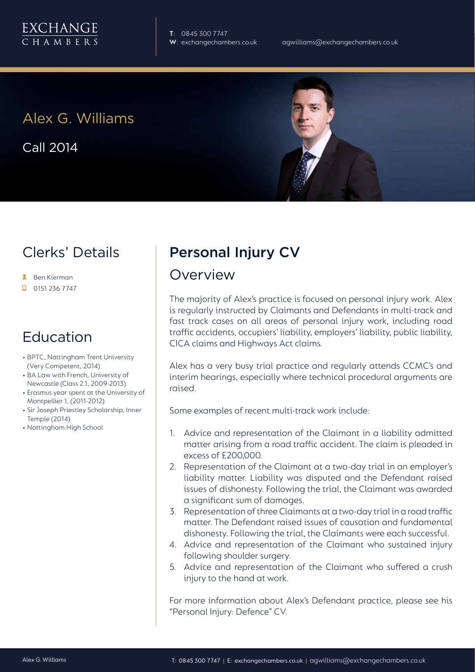**T**: 0845 300 7747

# Alex G. Williams

Call 2014



### Clerks' Details

- **A** Ben Kierman
- $\Box$  0151 236 7747

## Education

- BPTC, Nottingham Trent University (Very Competent, 2014)
- BA Law with French, University of Newcastle (Class 2.1, 2009-2013)
- Erasmus year spent at the University of Montpellier 1, (2011-2012)
- Sir Joseph Priestley Scholarship, Inner Temple (2014)
- Nottingham High School

# Personal Injury CV

#### Overview

The majority of Alex's practice is focused on personal injury work. Alex is regularly instructed by Claimants and Defendants in multi-track and fast track cases on all areas of personal injury work, including road traffic accidents, occupiers' liability, employers' liability, public liability, CICA claims and Highways Act claims.

Alex has a very busy trial practice and regularly attends CCMC's and interim hearings, especially where technical procedural arguments are raised.

Some examples of recent multi-track work include:

- 1. Advice and representation of the Claimant in a liability admitted matter arising from a road traffic accident. The claim is pleaded in excess of £200,000.
- 2. Representation of the Claimant at a two-day trial in an employer's liability matter. Liability was disputed and the Defendant raised issues of dishonesty. Following the trial, the Claimant was awarded a significant sum of damages.
- 3. Representation of three Claimants at a two-day trial in a road traffic matter. The Defendant raised issues of causation and fundamental dishonesty. Following the trial, the Claimants were each successful.
- 4. Advice and representation of the Claimant who sustained injury following shoulder surgery.
- 5. Advice and representation of the Claimant who suffered a crush injury to the hand at work.

For more information about Alex's Defendant practice, please see his "Personal Injury: Defence" CV.